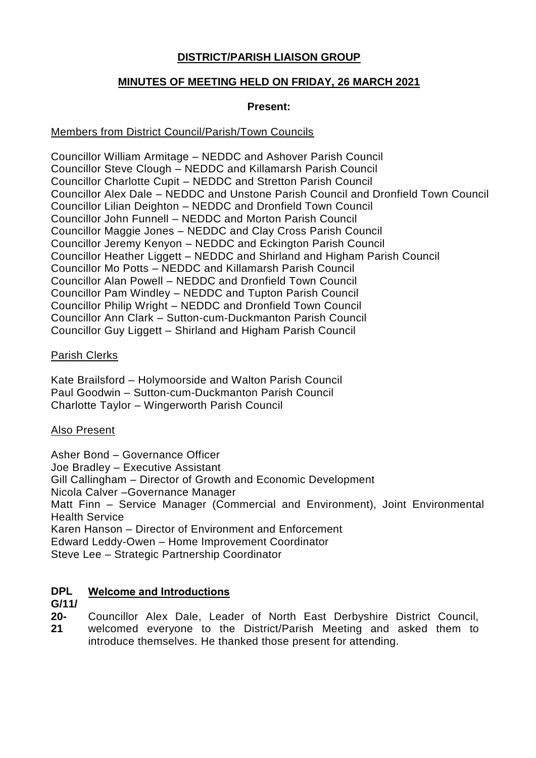# **DISTRICT/PARISH LIAISON GROUP**

# **MINUTES OF MEETING HELD ON FRIDAY, 26 MARCH 2021**

### **Present:**

### Members from District Council/Parish/Town Councils

Councillor William Armitage – NEDDC and Ashover Parish Council Councillor Steve Clough – NEDDC and Killamarsh Parish Council Councillor Charlotte Cupit – NEDDC and Stretton Parish Council Councillor Alex Dale – NEDDC and Unstone Parish Council and Dronfield Town Council Councillor Lilian Deighton – NEDDC and Dronfield Town Council Councillor John Funnell – NEDDC and Morton Parish Council Councillor Maggie Jones – NEDDC and Clay Cross Parish Council Councillor Jeremy Kenyon – NEDDC and Eckington Parish Council Councillor Heather Liggett – NEDDC and Shirland and Higham Parish Council Councillor Mo Potts – NEDDC and Killamarsh Parish Council Councillor Alan Powell – NEDDC and Dronfield Town Council Councillor Pam Windley – NEDDC and Tupton Parish Council Councillor Philip Wright – NEDDC and Dronfield Town Council Councillor Ann Clark – Sutton-cum-Duckmanton Parish Council Councillor Guy Liggett – Shirland and Higham Parish Council

# Parish Clerks

Kate Brailsford – Holymoorside and Walton Parish Council Paul Goodwin – Sutton-cum-Duckmanton Parish Council Charlotte Taylor – Wingerworth Parish Council

# Also Present

Asher Bond – Governance Officer Joe Bradley – Executive Assistant Gill Callingham – Director of Growth and Economic Development Nicola Calver –Governance Manager Matt Finn – Service Manager (Commercial and Environment), Joint Environmental Health Service Karen Hanson – Director of Environment and Enforcement Edward Leddy-Owen – Home Improvement Coordinator Steve Lee – Strategic Partnership Coordinator

#### **DPL Welcome and Introductions**

### **G/11/**

**20- 21** Councillor Alex Dale, Leader of North East Derbyshire District Council, welcomed everyone to the District/Parish Meeting and asked them to introduce themselves. He thanked those present for attending.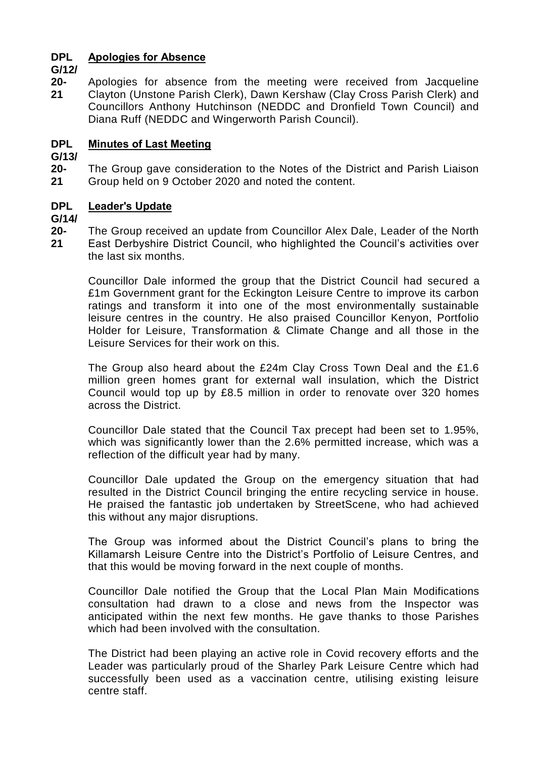#### **DPL Apologies for Absence**

**G/12/**

**20- 21** Apologies for absence from the meeting were received from Jacqueline Clayton (Unstone Parish Clerk), Dawn Kershaw (Clay Cross Parish Clerk) and Councillors Anthony Hutchinson (NEDDC and Dronfield Town Council) and Diana Ruff (NEDDC and Wingerworth Parish Council).

#### **DPL Minutes of Last Meeting**

**G/13/**

**20- 21** The Group gave consideration to the Notes of the District and Parish Liaison Group held on 9 October 2020 and noted the content.

#### **DPL Leader's Update**

**G/14/**

**20- 21** The Group received an update from Councillor Alex Dale, Leader of the North East Derbyshire District Council, who highlighted the Council's activities over the last six months.

Councillor Dale informed the group that the District Council had secured a £1m Government grant for the Eckington Leisure Centre to improve its carbon ratings and transform it into one of the most environmentally sustainable leisure centres in the country. He also praised Councillor Kenyon, Portfolio Holder for Leisure, Transformation & Climate Change and all those in the Leisure Services for their work on this.

The Group also heard about the £24m Clay Cross Town Deal and the £1.6 million green homes grant for external wall insulation, which the District Council would top up by £8.5 million in order to renovate over 320 homes across the District.

Councillor Dale stated that the Council Tax precept had been set to 1.95%, which was significantly lower than the 2.6% permitted increase, which was a reflection of the difficult year had by many.

Councillor Dale updated the Group on the emergency situation that had resulted in the District Council bringing the entire recycling service in house. He praised the fantastic job undertaken by StreetScene, who had achieved this without any major disruptions.

The Group was informed about the District Council's plans to bring the Killamarsh Leisure Centre into the District's Portfolio of Leisure Centres, and that this would be moving forward in the next couple of months.

Councillor Dale notified the Group that the Local Plan Main Modifications consultation had drawn to a close and news from the Inspector was anticipated within the next few months. He gave thanks to those Parishes which had been involved with the consultation.

The District had been playing an active role in Covid recovery efforts and the Leader was particularly proud of the Sharley Park Leisure Centre which had successfully been used as a vaccination centre, utilising existing leisure centre staff.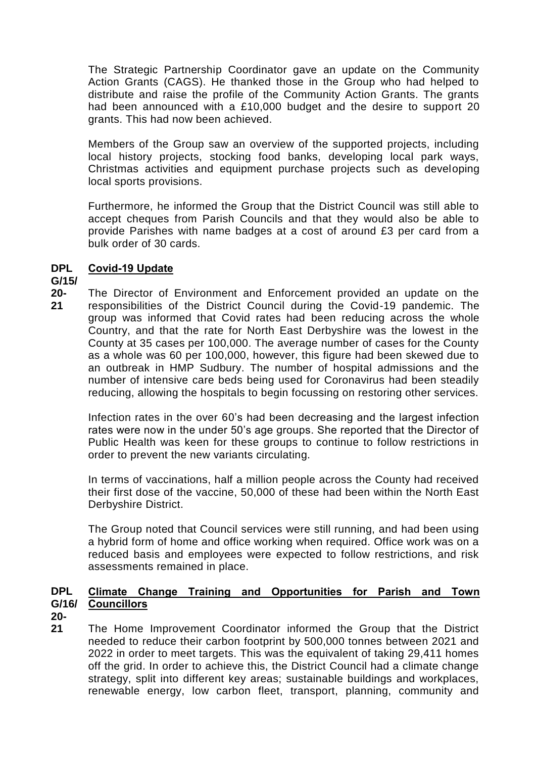The Strategic Partnership Coordinator gave an update on the Community Action Grants (CAGS). He thanked those in the Group who had helped to distribute and raise the profile of the Community Action Grants. The grants had been announced with a £10,000 budget and the desire to support 20 grants. This had now been achieved.

Members of the Group saw an overview of the supported projects, including local history projects, stocking food banks, developing local park ways, Christmas activities and equipment purchase projects such as developing local sports provisions.

Furthermore, he informed the Group that the District Council was still able to accept cheques from Parish Councils and that they would also be able to provide Parishes with name badges at a cost of around £3 per card from a bulk order of 30 cards.

#### **DPL Covid-19 Update**

# **G/15/**

**20- 21** The Director of Environment and Enforcement provided an update on the responsibilities of the District Council during the Covid-19 pandemic. The group was informed that Covid rates had been reducing across the whole Country, and that the rate for North East Derbyshire was the lowest in the County at 35 cases per 100,000. The average number of cases for the County as a whole was 60 per 100,000, however, this figure had been skewed due to an outbreak in HMP Sudbury. The number of hospital admissions and the number of intensive care beds being used for Coronavirus had been steadily reducing, allowing the hospitals to begin focussing on restoring other services.

Infection rates in the over 60's had been decreasing and the largest infection rates were now in the under 50's age groups. She reported that the Director of Public Health was keen for these groups to continue to follow restrictions in order to prevent the new variants circulating.

In terms of vaccinations, half a million people across the County had received their first dose of the vaccine, 50,000 of these had been within the North East Derbyshire District.

The Group noted that Council services were still running, and had been using a hybrid form of home and office working when required. Office work was on a reduced basis and employees were expected to follow restrictions, and risk assessments remained in place.

### **DPL G/16/ Councillors Climate Change Training and Opportunities for Parish and Town**

- **20-**
- **21** The Home Improvement Coordinator informed the Group that the District needed to reduce their carbon footprint by 500,000 tonnes between 2021 and 2022 in order to meet targets. This was the equivalent of taking 29,411 homes off the grid. In order to achieve this, the District Council had a climate change strategy, split into different key areas; sustainable buildings and workplaces, renewable energy, low carbon fleet, transport, planning, community and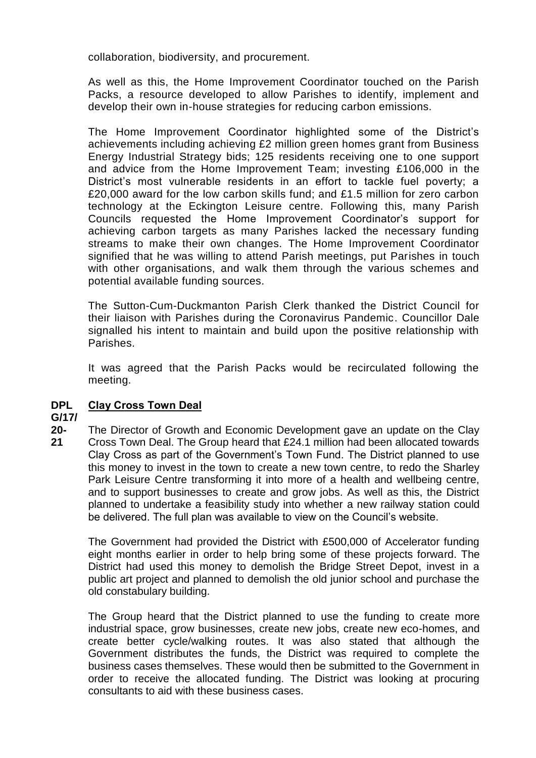collaboration, biodiversity, and procurement.

As well as this, the Home Improvement Coordinator touched on the Parish Packs, a resource developed to allow Parishes to identify, implement and develop their own in-house strategies for reducing carbon emissions.

The Home Improvement Coordinator highlighted some of the District's achievements including achieving £2 million green homes grant from Business Energy Industrial Strategy bids; 125 residents receiving one to one support and advice from the Home Improvement Team; investing £106,000 in the District's most vulnerable residents in an effort to tackle fuel poverty; a £20,000 award for the low carbon skills fund; and £1.5 million for zero carbon technology at the Eckington Leisure centre. Following this, many Parish Councils requested the Home Improvement Coordinator's support for achieving carbon targets as many Parishes lacked the necessary funding streams to make their own changes. The Home Improvement Coordinator signified that he was willing to attend Parish meetings, put Parishes in touch with other organisations, and walk them through the various schemes and potential available funding sources.

The Sutton-Cum-Duckmanton Parish Clerk thanked the District Council for their liaison with Parishes during the Coronavirus Pandemic. Councillor Dale signalled his intent to maintain and build upon the positive relationship with Parishes.

It was agreed that the Parish Packs would be recirculated following the meeting.

#### **DPL Clay Cross Town Deal**

### **G/17/**

**20- 21** The Director of Growth and Economic Development gave an update on the Clay Cross Town Deal. The Group heard that £24.1 million had been allocated towards Clay Cross as part of the Government's Town Fund. The District planned to use this money to invest in the town to create a new town centre, to redo the Sharley Park Leisure Centre transforming it into more of a health and wellbeing centre, and to support businesses to create and grow jobs. As well as this, the District planned to undertake a feasibility study into whether a new railway station could be delivered. The full plan was available to view on the Council's website.

The Government had provided the District with £500,000 of Accelerator funding eight months earlier in order to help bring some of these projects forward. The District had used this money to demolish the Bridge Street Depot, invest in a public art project and planned to demolish the old junior school and purchase the old constabulary building.

The Group heard that the District planned to use the funding to create more industrial space, grow businesses, create new jobs, create new eco-homes, and create better cycle/walking routes. It was also stated that although the Government distributes the funds, the District was required to complete the business cases themselves. These would then be submitted to the Government in order to receive the allocated funding. The District was looking at procuring consultants to aid with these business cases.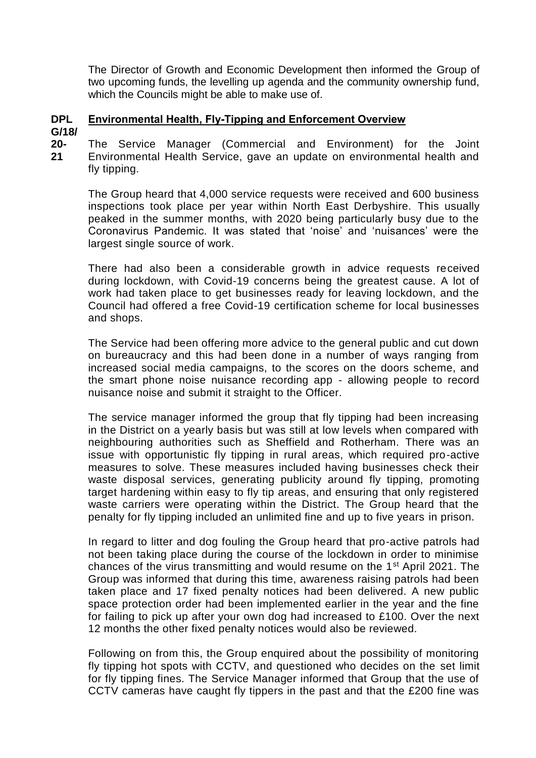The Director of Growth and Economic Development then informed the Group of two upcoming funds, the levelling up agenda and the community ownership fund, which the Councils might be able to make use of.

#### **DPL Environmental Health, Fly-Tipping and Enforcement Overview**

**G/18/**

**20- 21** The Service Manager (Commercial and Environment) for the Joint Environmental Health Service, gave an update on environmental health and fly tipping.

The Group heard that 4,000 service requests were received and 600 business inspections took place per year within North East Derbyshire. This usually peaked in the summer months, with 2020 being particularly busy due to the Coronavirus Pandemic. It was stated that 'noise' and 'nuisances' were the largest single source of work.

There had also been a considerable growth in advice requests received during lockdown, with Covid-19 concerns being the greatest cause. A lot of work had taken place to get businesses ready for leaving lockdown, and the Council had offered a free Covid-19 certification scheme for local businesses and shops.

The Service had been offering more advice to the general public and cut down on bureaucracy and this had been done in a number of ways ranging from increased social media campaigns, to the scores on the doors scheme, and the smart phone noise nuisance recording app - allowing people to record nuisance noise and submit it straight to the Officer.

The service manager informed the group that fly tipping had been increasing in the District on a yearly basis but was still at low levels when compared with neighbouring authorities such as Sheffield and Rotherham. There was an issue with opportunistic fly tipping in rural areas, which required pro-active measures to solve. These measures included having businesses check their waste disposal services, generating publicity around fly tipping, promoting target hardening within easy to fly tip areas, and ensuring that only registered waste carriers were operating within the District. The Group heard that the penalty for fly tipping included an unlimited fine and up to five years in prison.

In regard to litter and dog fouling the Group heard that pro-active patrols had not been taking place during the course of the lockdown in order to minimise chances of the virus transmitting and would resume on the 1st April 2021. The Group was informed that during this time, awareness raising patrols had been taken place and 17 fixed penalty notices had been delivered. A new public space protection order had been implemented earlier in the year and the fine for failing to pick up after your own dog had increased to £100. Over the next 12 months the other fixed penalty notices would also be reviewed.

Following on from this, the Group enquired about the possibility of monitoring fly tipping hot spots with CCTV, and questioned who decides on the set limit for fly tipping fines. The Service Manager informed that Group that the use of CCTV cameras have caught fly tippers in the past and that the £200 fine was